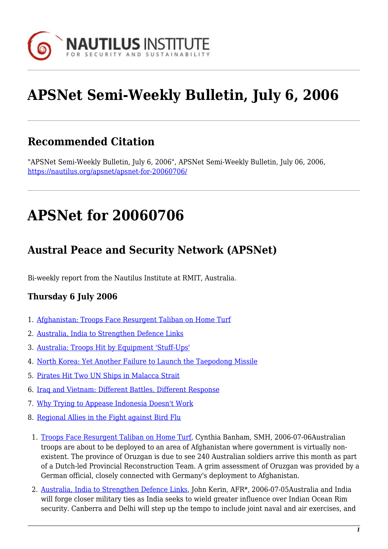

# **APSNet Semi-Weekly Bulletin, July 6, 2006**

## **Recommended Citation**

"APSNet Semi-Weekly Bulletin, July 6, 2006", APSNet Semi-Weekly Bulletin, July 06, 2006, <https://nautilus.org/apsnet/apsnet-for-20060706/>

## **APSNet for 20060706**

## **Austral Peace and Security Network (APSNet)**

Bi-weekly report from the Nautilus Institute at RMIT, Australia.

#### **Thursday 6 July 2006**

- 1. [Afghanistan: Troops Face Resurgent Taliban on Home Turf](#page--1-0)
- 2. [Australia, India to Strengthen Defence Links](#page--1-0)
- 3. [Australia: Troops Hit by Equipment 'Stuff-Ups'](#page--1-0)
- 4. [North Korea: Yet Another Failure to Launch the Taepodong Missile](#page--1-0)
- 5. [Pirates Hit Two UN Ships in Malacca Strait](#page--1-0)
- 6. [Iraq and Vietnam: Different Battles, Different Response](#page--1-0)
- 7. [Why Trying to Appease Indonesia Doesn't Work](#page--1-0)
- 8. [Regional Allies in the Fight against Bird Flu](#page--1-0)
	- 1. [Troops Face Resurgent Taliban on Home Turf,](http://www.smh.com.au/news/world/troops-face-resurgent-taliban-on-home-turf/2006/07/05/1151779013606.html) Cynthia Banham, SMH, 2006-07-06Australian troops are about to be deployed to an area of Afghanistan where government is virtually nonexistent. The province of Oruzgan is due to see 240 Australian soldiers arrive this month as part of a Dutch-led Provincial Reconstruction Team. A grim assessment of Oruzgan was provided by a German official, closely connected with Germany's deployment to Afghanistan.
	- 2. [Australia, India to Strengthen Defence Links,](http://newsstore.fairfax.com.au/apps/newsSearch.ac?page=1&kw=Australia, India to Strengthen Defence Links &dr=day&submit=Search) John Kerin, AFR\*, 2006-07-05Australia and India will forge closer military ties as India seeks to wield greater influence over Indian Ocean Rim security. Canberra and Delhi will step up the tempo to include joint naval and air exercises, and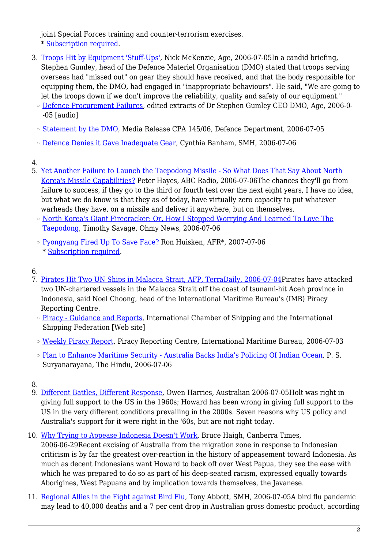joint Special Forces training and counter-terrorism exercises. \* [Subscription required](http://nautilus.org/subscription.html).

- 3. [Troops Hit by Equipment 'Stuff-Ups',](http://www.theage.com.au/news/national/defence-stuffups-hit-troops/2006/07/04/1151778937175.html) Nick McKenzie, Age, 2006-07-05In a candid briefing, Stephen Gumley, head of the Defence Materiel Organisation (DMO) stated that troops serving overseas had "missed out" on gear they should have received, and that the body responsible for equipping them, the DMO, had engaged in "inappropriate behaviours". He said, "We are going to let the troops down if we don't improve the reliability, quality and safety of our equipment."
	- ❍ [Defence Procurement Failures](http://media.theage.com.au/?rid=20141&sy=age&source=theage.com.au/&t=2LDH9L&player=wm6&rate=2&flash=0&ie=0), edited extracts of Dr Stephen Gumley CEO DMO, Age, 2006-0- -05 [audio]
	- ❍ [Statement by the DMO](http://www.defence.gov.au/media/DepartmentalTpl.cfm?CurrentId=5787), Media Release CPA 145/06, Defence Department, 2006-07-05
	- ❍ [Defence Denies it Gave Inadequate Gear](http://www.smh.com.au/news/world/defence-denies-it-gave-inadequate-gear/2006/07/05/1151779013609.html), Cynthia Banham, SMH, 2006-07-06
- 4.
- 5. [Yet Another Failure to Launch the Taepodong Missile So What Does That Say About North](http://www.abc.net.au/ra/connectasia/stories/s1680139.htm) [Korea's Missile Capabilities?](http://www.abc.net.au/ra/connectasia/stories/s1680139.htm) Peter Hayes, ABC Radio, 2006-07-06The chances they'll go from failure to success, if they go to the third or fourth test over the next eight years. I have no idea, but what we do know is that they as of today, have virtually zero capacity to put whatever warheads they have, on a missile and deliver it anywhere, but on themselves.
	- ❍ [North Korea's Giant Firecracker: Or, How I Stopped Worrying And Learned To Love The](http://english.ohmynews.com/ArticleView/article_view.asp?menu=A11100&no=303439&rel_no=1) [Taepodong](http://english.ohmynews.com/ArticleView/article_view.asp?menu=A11100&no=303439&rel_no=1), Timothy Savage, Ohmy News, 2006-07-06
	- ❍ [Pyongyang Fired Up To Save Face?](http://newsstore.fairfax.com.au/apps/newsSearch.ac;jsessionid=4DB71AC6DE7A6BEE9B544F95E53DE519?page=1&kw=Pyongyang Fired Up To Save Face&dr=today&submit=Search) Ron Huisken, AFR\*, 2007-07-06 \* [Subscription required.](http://nautilus.org/subscription.html)
- 6.
- 7. [Pirates Hit Two UN Ships in Malacca Strait, AFP, TerraDaily, 2006-07-04](http://www.terradaily.com/reports/Pirates_Hit_Two_UN_Ships_In_Malacca_Strait_999.html)Pirates have attacked two UN-chartered vessels in the Malacca Strait off the coast of tsunami-hit Aceh province in Indonesia, said Noel Choong, head of the International Maritime Bureau's (IMB) Piracy Reporting Centre.
	- ❍ [Piracy Guidance and Reports](http://www.marisec.org/piracy/index.htm), International Chamber of Shipping and the International Shipping Federation [Web site]
	- ❍ [Weekly Piracy Report](http://www.icc-ccs.org/prc/piracyreport.php), Piracy Reporting Centre, International Maritime Bureau, 2006-07-03
	- ❍ [Plan to Enhance Maritime Security Australia Backs India's Policing Of Indian Ocean](http://www.hindu.com/2006/06/07/stories/2006060718251500.htm), P. S. Suryanarayana, The Hindu, 2006-07-06

- 9. [Different Battles, Different Response](http://www.theaustralian.news.com.au/story/0,20867,19685411-7583,00.html), Owen Harries, Australian 2006-07-05Holt was right in giving full support to the US in the 1960s; Howard has been wrong in giving full support to the US in the very different conditions prevailing in the 2000s. Seven reasons why US policy and Australia's support for it were right in the '60s, but are not right today.
- 10. [Why Trying to Appease Indonesia Doesn't Work,](http://canberra.yourguide.com.au/detail.asp?class=your say&subclass=general&story_id=490822&category=Opinion&m=6&y=2006) Bruce Haigh, Canberra Times, 2006-06-29Recent excising of Australia from the migration zone in response to Indonesian criticism is by far the greatest over-reaction in the history of appeasement toward Indonesia. As much as decent Indonesians want Howard to back off over West Papua, they see the ease with which he was prepared to do so as part of his deep-seated racism, expressed equally towards Aborigines, West Papuans and by implication towards themselves, the Javanese.
- 11. [Regional Allies in the Fight against Bird Flu,](http://www.smh.com.au/news/opinion/regional-allies-in-the-fight-against-bird-flu/2006/07/04/1151778935531.html?page=fullpage) Tony Abbott, SMH, 2006-07-05A bird flu pandemic may lead to 40,000 deaths and a 7 per cent drop in Australian gross domestic product, according

<sup>8.</sup>